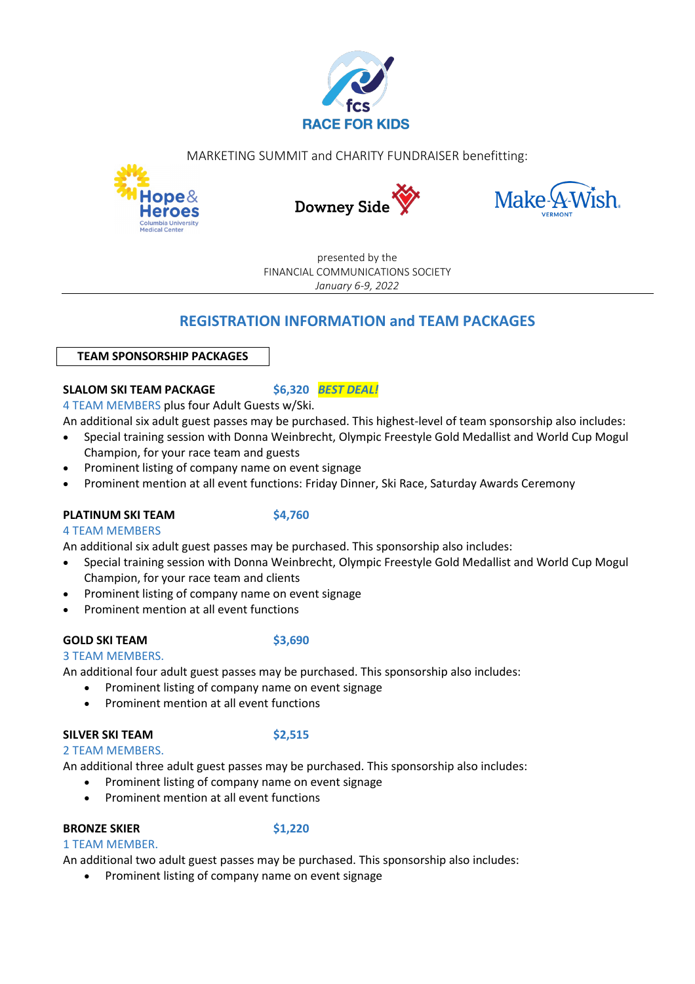

MARKETING SUMMIT and CHARITY FUNDRAISER benefitting:







presented by the FINANCIAL COMMUNICATIONS SOCIETY *January 6-9, 2022*

# **REGISTRATION INFORMATION and TEAM PACKAGES**

## **TEAM SPONSORSHIP PACKAGES**

# **SLALOM SKI TEAM PACKAGE \$6,320** *BEST DEAL!*

4 TEAM MEMBERS plus four Adult Guests w/Ski.

An additional six adult guest passes may be purchased. This highest-level of team sponsorship also includes:

- Special training session with Donna Weinbrecht, Olympic Freestyle Gold Medallist and World Cup Mogul Champion, for your race team and guests
- Prominent listing of company name on event signage
- Prominent mention at all event functions: Friday Dinner, Ski Race, Saturday Awards Ceremony

## **PLATINUM SKI TEAM \$4,760**

## 4 TEAM MEMBERS

An additional six adult guest passes may be purchased. This sponsorship also includes:

- Special training session with Donna Weinbrecht, Olympic Freestyle Gold Medallist and World Cup Mogul Champion, for your race team and clients
- Prominent listing of company name on event signage
- Prominent mention at all event functions

## **GOLD SKI TEAM \$3,690**

3 TEAM MEMBERS. An additional four adult guest passes may be purchased. This sponsorship also includes:

- Prominent listing of company name on event signage
- Prominent mention at all event functions

## **SILVER SKI TEAM \$2,515**

2 TEAM MEMBERS.

An additional three adult guest passes may be purchased. This sponsorship also includes:

- Prominent listing of company name on event signage
- Prominent mention at all event functions

# **BRONZE SKIER \$1,220**

1 TEAM MEMBER.

An additional two adult guest passes may be purchased. This sponsorship also includes:

• Prominent listing of company name on event signage